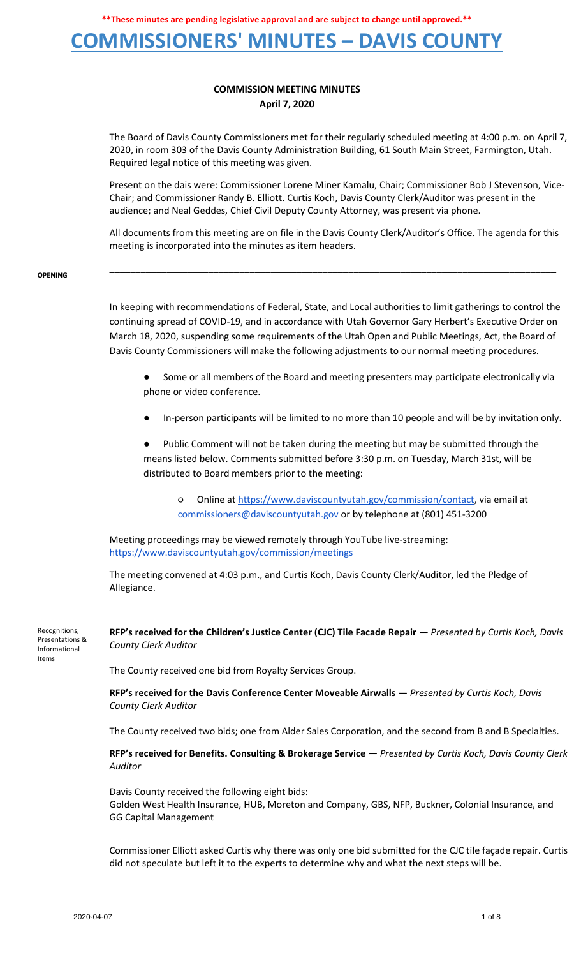#### **COMMISSIONERS' MINUTES – DAVIS COUNTY**

#### **COMMISSION MEETING MINUTES April 7, 2020**

The Board of Davis County Commissioners met for their regularly scheduled meeting at 4:00 p.m. on April 7, 2020, in room 303 of the Davis County Administration Building, 61 South Main Street, Farmington, Utah. Required legal notice of this meeting was given.

Present on the dais were: Commissioner Lorene Miner Kamalu, Chair; Commissioner Bob J Stevenson, Vice-Chair; and Commissioner Randy B. Elliott. Curtis Koch, Davis County Clerk/Auditor was present in the audience; and Neal Geddes, Chief Civil Deputy County Attorney, was present via phone.

All documents from this meeting are on file in the Davis County Clerk/Auditor's Office. The agenda for this meeting is incorporated into the minutes as item headers.

**\_\_\_\_\_\_\_\_\_\_\_\_\_\_\_\_\_\_\_\_\_\_\_\_\_\_\_\_\_\_\_\_\_\_\_\_\_\_\_\_\_\_\_\_\_\_\_\_\_\_\_\_\_\_\_\_\_\_\_\_\_\_\_\_\_\_\_\_\_\_\_\_\_\_\_\_\_\_\_\_\_\_\_\_\_\_**

**OPENING**

In keeping with recommendations of Federal, State, and Local authorities to limit gatherings to control the continuing spread of COVID-19, and in accordance with Utah Governor Gary Herbert's Executive Order on March 18, 2020, suspending some requirements of the Utah Open and Public Meetings, Act, the Board of Davis County Commissioners will make the following adjustments to our normal meeting procedures.

Some or all members of the Board and meeting presenters may participate electronically via phone or video conference.

In-person participants will be limited to no more than 10 people and will be by invitation only.

Public Comment will not be taken during the meeting but may be submitted through the means listed below. Comments submitted before 3:30 p.m. on Tuesday, March 31st, will be distributed to Board members prior to the meeting:

○ Online a[t](https://www.daviscountyutah.gov/commission/contact) [https://www.daviscountyutah.gov/commission/contact,](https://www.daviscountyutah.gov/commission/contact) via email at commissioners@daviscountyutah.gov or by telephone at (801) 451-3200

Meeting proceedings may be viewed remotely through YouTube live-streaming[:](https://www.daviscountyutah.gov/commission/meetings) <https://www.daviscountyutah.gov/commission/meetings>

The meeting convened at 4:03 p.m., and Curtis Koch, Davis County Clerk/Auditor, led the Pledge of Allegiance.

Recognitions, Presentations & Informational Items

**RFP's received for the Children's Justice Center (CJC) Tile Facade Repair** — *Presented by Curtis Koch, Davis County Clerk Auditor*

The County received one bid from Royalty Services Group.

**RFP's received for the Davis Conference Center Moveable Airwalls** — *Presented by Curtis Koch, Davis County Clerk Auditor*

The County received two bids; one from Alder Sales Corporation, and the second from B and B Specialties.

**RFP's received for Benefits. Consulting & Brokerage Service** — *Presented by Curtis Koch, Davis County Clerk Auditor*

Davis County received the following eight bids: Golden West Health Insurance, HUB, Moreton and Company, GBS, NFP, Buckner, Colonial Insurance, and GG Capital Management

Commissioner Elliott asked Curtis why there was only one bid submitted for the CJC tile façade repair. Curtis did not speculate but left it to the experts to determine why and what the next steps will be.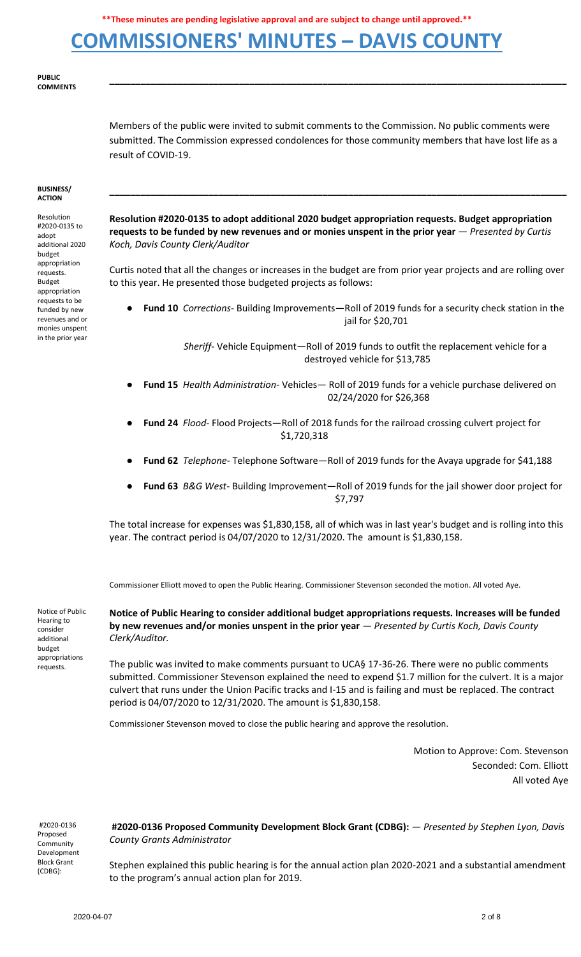### **COMMISSIONERS' MINUTES – DAVIS COUNTY**

#### **PUBLIC COMMENTS**

Members of the public were invited to submit comments to the Commission. No public comments were submitted. The Commission expressed condolences for those community members that have lost life as a result of COVID-19.

**\_\_\_\_\_\_\_\_\_\_\_\_\_\_\_\_\_\_\_\_\_\_\_\_\_\_\_\_\_\_\_\_\_\_\_\_\_\_\_\_\_\_\_\_\_\_\_\_\_\_\_\_\_\_\_\_\_\_\_\_\_\_\_\_\_\_\_\_\_\_\_\_\_\_\_\_\_\_\_\_\_\_\_\_\_\_\_\_**

#### **BUSINESS/ ACTION**

Resolution #2020-0135 to adopt additional 2020 budget appropriation requests. Budget appropriation requests to be funded by new revenues and or monies unspent in the prior year

**Resolution #2020-0135 to adopt additional 2020 budget appropriation requests. Budget appropriation requests to be funded by new revenues and or monies unspent in the prior year** — *Presented by Curtis Koch, Davis County Clerk/Auditor*

**\_\_\_\_\_\_\_\_\_\_\_\_\_\_\_\_\_\_\_\_\_\_\_\_\_\_\_\_\_\_\_\_\_\_\_\_\_\_\_\_\_\_\_\_\_\_\_\_\_\_\_\_\_\_\_\_\_\_\_\_\_\_\_\_\_\_\_\_\_\_\_\_\_\_\_\_\_\_\_\_\_\_\_\_\_\_\_\_**

Curtis noted that all the changes or increases in the budget are from prior year projects and are rolling over to this year. He presented those budgeted projects as follows:

● **Fund 10** *Corrections*- Building Improvements—Roll of 2019 funds for a security check station in the jail for \$20,701

> *Sheriff*- Vehicle Equipment—Roll of 2019 funds to outfit the replacement vehicle for a destroyed vehicle for \$13,785

- **Fund 15** *Health Administration* Vehicles— Roll of 2019 funds for a vehicle purchase delivered on 02/24/2020 for \$26,368
- **Fund 24** *Flood* Flood Projects—Roll of 2018 funds for the railroad crossing culvert project for \$1,720,318
- **Fund 62** *Telephone* Telephone Software—Roll of 2019 funds for the Avaya upgrade for \$41,188
- **Fund 63** *B&G West* Building Improvement—Roll of 2019 funds for the jail shower door project for \$7,797

The total increase for expenses was \$1,830,158, all of which was in last year's budget and is rolling into this year. The contract period is 04/07/2020 to 12/31/2020. The amount is \$1,830,158.

Commissioner Elliott moved to open the Public Hearing. Commissioner Stevenson seconded the motion. All voted Aye.

Notice of Public Hearing to consider additional budget appropriations requests.

**Notice of Public Hearing to consider additional budget appropriations requests. Increases will be funded by new revenues and/or monies unspent in the prior year** — *Presented by Curtis Koch, Davis County Clerk/Auditor.*

The public was invited to make comments pursuant to UCA§ 17-36-26. There were no public comments submitted. Commissioner Stevenson explained the need to expend \$1.7 million for the culvert. It is a major culvert that runs under the Union Pacific tracks and I-15 and is failing and must be replaced. The contract period is 04/07/2020 to 12/31/2020. The amount is \$1,830,158.

Commissioner Stevenson moved to close the public hearing and approve the resolution.

Motion to Approve: Com. Stevenson Seconded: Com. Elliott All voted Aye

#2020-0136 Proposed Community Development Block Grant (CDBG):

**#2020-0136 Proposed Community Development Block Grant (CDBG):** — *Presented by Stephen Lyon, Davis County Grants Administrator*

Stephen explained this public hearing is for the annual action plan 2020-2021 and a substantial amendment to the program's annual action plan for 2019.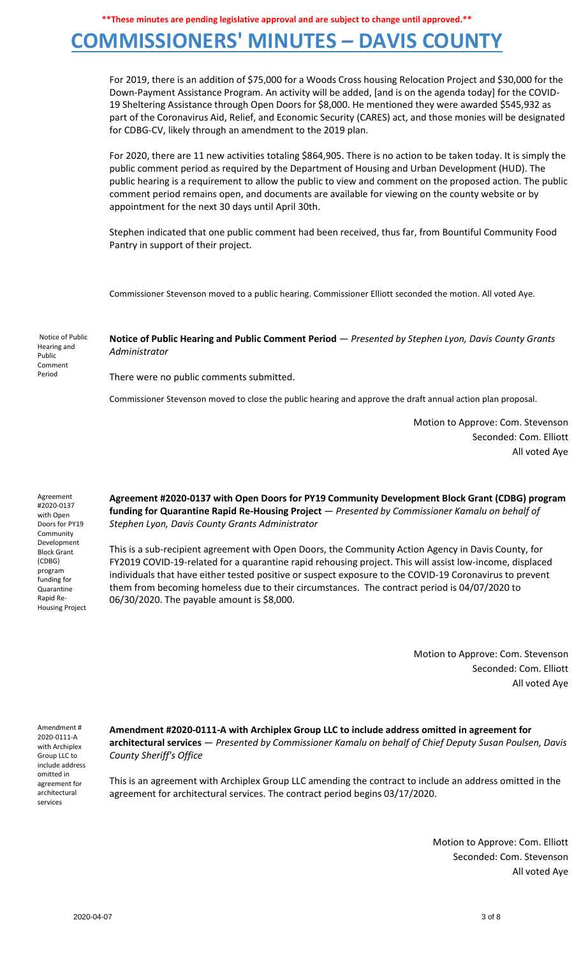## **COMMISSIONERS' MINUTES – DAVIS COUNTY**

For 2019, there is an addition of \$75,000 for a Woods Cross housing Relocation Project and \$30,000 for the Down-Payment Assistance Program. An activity will be added, [and is on the agenda today] for the COVID-19 Sheltering Assistance through Open Doors for \$8,000. He mentioned they were awarded \$545,932 as part of the Coronavirus Aid, Relief, and Economic Security (CARES) act, and those monies will be designated for CDBG-CV, likely through an amendment to the 2019 plan.

For 2020, there are 11 new activities totaling \$864,905. There is no action to be taken today. It is simply the public comment period as required by the Department of Housing and Urban Development (HUD). The public hearing is a requirement to allow the public to view and comment on the proposed action. The public comment period remains open, and documents are available for viewing on the county website or by appointment for the next 30 days until April 30th.

Stephen indicated that one public comment had been received, thus far, from Bountiful Community Food Pantry in support of their project.

Commissioner Stevenson moved to a public hearing. Commissioner Elliott seconded the motion. All voted Aye.

Notice of Public Hearing and Public Comment Period

**Notice of Public Hearing and Public Comment Period** — *Presented by Stephen Lyon, Davis County Grants Administrator*

There were no public comments submitted.

Commissioner Stevenson moved to close the public hearing and approve the draft annual action plan proposal.

Motion to Approve: Com. Stevenson Seconded: Com. Elliott All voted Aye

Agreement #2020-0137 with Open Doors for PY19 Community Development Block Grant (CDBG) program funding for Quarantine Rapid Re-Housing Project **Agreement #2020-0137 with Open Doors for PY19 Community Development Block Grant (CDBG) program funding for Quarantine Rapid Re-Housing Project** — *Presented by Commissioner Kamalu on behalf of Stephen Lyon, Davis County Grants Administrator*

This is a sub-recipient agreement with Open Doors, the Community Action Agency in Davis County, for FY2019 COVID-19-related for a quarantine rapid rehousing project. This will assist low-income, displaced individuals that have either tested positive or suspect exposure to the COVID-19 Coronavirus to prevent them from becoming homeless due to their circumstances. The contract period is 04/07/2020 to 06/30/2020. The payable amount is \$8,000.

> Motion to Approve: Com. Stevenson Seconded: Com. Elliott All voted Aye

Amendment # 2020-0111-A with Archiplex Group LLC to include address omitted in agreement for architectural services

**Amendment #2020-0111-A with Archiplex Group LLC to include address omitted in agreement for architectural services** — *Presented by Commissioner Kamalu on behalf of Chief Deputy Susan Poulsen, Davis County Sheriff's Office*

This is an agreement with Archiplex Group LLC amending the contract to include an address omitted in the agreement for architectural services. The contract period begins 03/17/2020.

> Motion to Approve: Com. Elliott Seconded: Com. Stevenson All voted Aye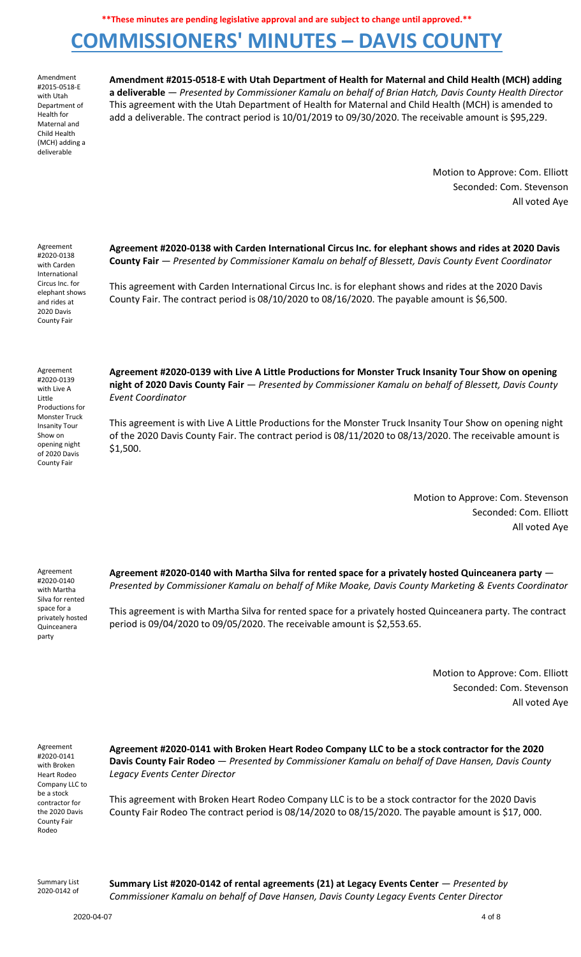# **COMMISSIONERS' MINUTES – DAVIS COUNTY**

Amendment #2015-0518-E with Utah Department of Health for Maternal and Child Health (MCH) adding a deliverable

**Amendment #2015-0518-E with Utah Department of Health for Maternal and Child Health (MCH) adding a deliverable** — *Presented by Commissioner Kamalu on behalf of Brian Hatch, Davis County Health Director* This agreement with the Utah Department of Health for Maternal and Child Health (MCH) is amended to add a deliverable. The contract period is 10/01/2019 to 09/30/2020. The receivable amount is \$95,229.

> Motion to Approve: Com. Elliott Seconded: Com. Stevenson All voted Aye

Agreement #2020-0138 with Carden International Circus Inc. for elephant shows and rides at 2020 Davis County Fair

**Agreement #2020-0138 with Carden International Circus Inc. for elephant shows and rides at 2020 Davis County Fair** — *Presented by Commissioner Kamalu on behalf of Blessett, Davis County Event Coordinator*

This agreement with Carden International Circus Inc. is for elephant shows and rides at the 2020 Davis County Fair. The contract period is 08/10/2020 to 08/16/2020. The payable amount is \$6,500.

Agreement #2020-0139 with Live A Little Productions for Monster Truck Insanity Tour Show on opening night of 2020 Davis County Fair

**Agreement #2020-0139 with Live A Little Productions for Monster Truck Insanity Tour Show on opening night of 2020 Davis County Fair** — *Presented by Commissioner Kamalu on behalf of Blessett, Davis County Event Coordinator*

This agreement is with Live A Little Productions for the Monster Truck Insanity Tour Show on opening night of the 2020 Davis County Fair. The contract period is 08/11/2020 to 08/13/2020. The receivable amount is \$1,500.

> Motion to Approve: Com. Stevenson Seconded: Com. Elliott All voted Aye

Agreement #2020-0140 with Martha Silva for rented space for a privately hosted Quinceanera party

**Agreement #2020-0140 with Martha Silva for rented space for a privately hosted Quinceanera party** — *Presented by Commissioner Kamalu on behalf of Mike Moake, Davis County Marketing & Events Coordinator*

This agreement is with Martha Silva for rented space for a privately hosted Quinceanera party. The contract period is 09/04/2020 to 09/05/2020. The receivable amount is \$2,553.65.

> Motion to Approve: Com. Elliott Seconded: Com. Stevenson All voted Aye

Agreement #2020-0141 with Broken Heart Rodeo Company LLC to be a stock contractor for the 2020 Davis County Fair Rodeo

**Agreement #2020-0141 with Broken Heart Rodeo Company LLC to be a stock contractor for the 2020 Davis County Fair Rodeo** — *Presented by Commissioner Kamalu on behalf of Dave Hansen, Davis County Legacy Events Center Director*

This agreement with Broken Heart Rodeo Company LLC is to be a stock contractor for the 2020 Davis County Fair Rodeo The contract period is 08/14/2020 to 08/15/2020. The payable amount is \$17, 000.

Summary List 2020-0142 of **Summary List #2020-0142 of rental agreements (21) at Legacy Events Center** — *Presented by Commissioner Kamalu on behalf of Dave Hansen, Davis County Legacy Events Center Director*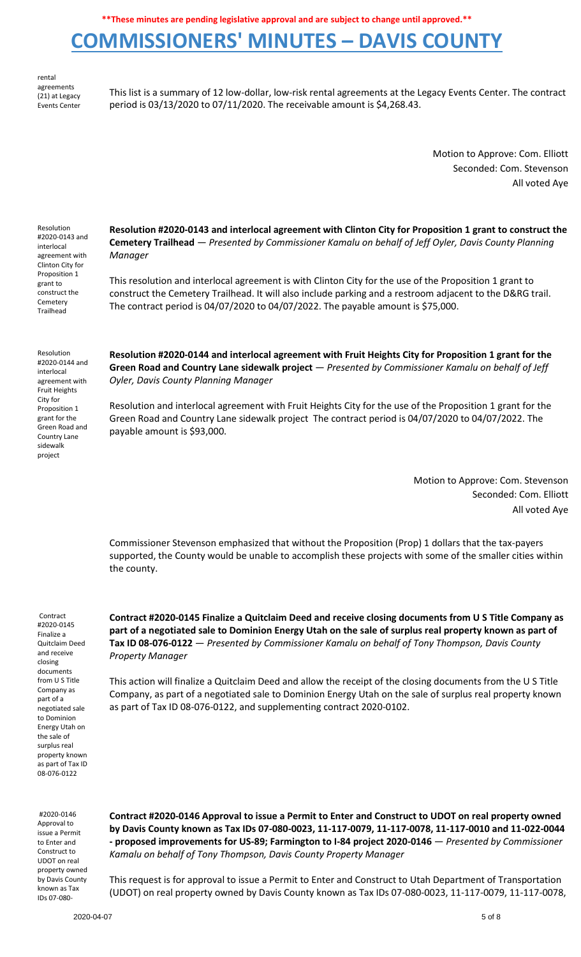# **COMMISSIONERS' MINUTES – DAVIS COUNTY**

rental agreements (21) at Legacy Events Center

This list is a summary of 12 low-dollar, low-risk rental agreements at the Legacy Events Center. The contract period is 03/13/2020 to 07/11/2020. The receivable amount is \$4,268.43.

> Motion to Approve: Com. Elliott Seconded: Com. Stevenson All voted Aye

Resolution #2020-0143 and interlocal agreement with Clinton City for Proposition 1 grant to construct the Cemetery Trailhead

**Resolution #2020-0143 and interlocal agreement with Clinton City for Proposition 1 grant to construct the Cemetery Trailhead** — *Presented by Commissioner Kamalu on behalf of Jeff Oyler, Davis County Planning Manager*

This resolution and interlocal agreement is with Clinton City for the use of the Proposition 1 grant to construct the Cemetery Trailhead. It will also include parking and a restroom adjacent to the D&RG trail. The contract period is 04/07/2020 to 04/07/2022. The payable amount is \$75,000.

Resolution #2020-0144 and interlocal agreement with Fruit Heights City for Proposition 1 grant for the Green Road and Country Lane sidewalk project

**Resolution #2020-0144 and interlocal agreement with Fruit Heights City for Proposition 1 grant for the Green Road and Country Lane sidewalk project** — *Presented by Commissioner Kamalu on behalf of Jeff Oyler, Davis County Planning Manager*

Resolution and interlocal agreement with Fruit Heights City for the use of the Proposition 1 grant for the Green Road and Country Lane sidewalk project The contract period is 04/07/2020 to 04/07/2022. The payable amount is \$93,000.

> Motion to Approve: Com. Stevenson Seconded: Com. Elliott All voted Aye

Commissioner Stevenson emphasized that without the Proposition (Prop) 1 dollars that the tax-payers supported, the County would be unable to accomplish these projects with some of the smaller cities within the county.

Contract #2020-0145 Finalize a Quitclaim Deed and receive closing documents from U S Title Company as part of a negotiated sale to Dominion Energy Utah on the sale of surplus real property known as part of Tax ID 08-076-0122

**Contract #2020-0145 Finalize a Quitclaim Deed and receive closing documents from U S Title Company as part of a negotiated sale to Dominion Energy Utah on the sale of surplus real property known as part of Tax ID 08-076-0122** — *Presented by Commissioner Kamalu on behalf of Tony Thompson, Davis County Property Manager*

This action will finalize a Quitclaim Deed and allow the receipt of the closing documents from the U S Title Company, as part of a negotiated sale to Dominion Energy Utah on the sale of surplus real property known as part of Tax ID 08-076-0122, and supplementing contract 2020-0102.

#2020-0146 Approval to issue a Permit to Enter and Construct to UDOT on real property owned by Davis County known as Tax IDs 07-080-

**Contract #2020-0146 Approval to issue a Permit to Enter and Construct to UDOT on real property owned by Davis County known as Tax IDs 07-080-0023, 11-117-0079, 11-117-0078, 11-117-0010 and 11-022-0044 - proposed improvements for US-89; Farmington to I-84 project 2020-0146** — *Presented by Commissioner Kamalu on behalf of Tony Thompson, Davis County Property Manager*

This request is for approval to issue a Permit to Enter and Construct to Utah Department of Transportation (UDOT) on real property owned by Davis County known as Tax IDs 07-080-0023, 11-117-0079, 11-117-0078,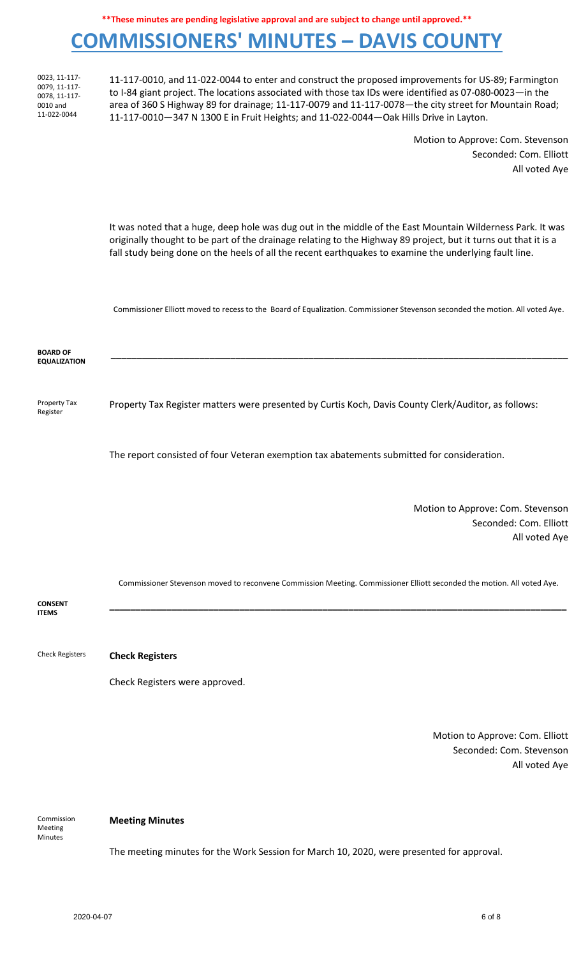### **COMMISSIONERS' MINUTES – DAVIS COUNTY**

0023, 11-117- 0079, 11-117- 0078, 11-117- 0010 and 11-022-0044

11-117-0010, and 11-022-0044 to enter and construct the proposed improvements for US-89; Farmington to I-84 giant project. The locations associated with those tax IDs were identified as 07-080-0023—in the area of 360 S Highway 89 for drainage; 11-117-0079 and 11-117-0078—the city street for Mountain Road; 11-117-0010—347 N 1300 E in Fruit Heights; and 11-022-0044—Oak Hills Drive in Layton.

> Motion to Approve: Com. Stevenson Seconded: Com. Elliott All voted Aye

It was noted that a huge, deep hole was dug out in the middle of the East Mountain Wilderness Park. It was originally thought to be part of the drainage relating to the Highway 89 project, but it turns out that it is a fall study being done on the heels of all the recent earthquakes to examine the underlying fault line.

Commissioner Elliott moved to recess to the Board of Equalization. Commissioner Stevenson seconded the motion. All voted Aye.

**\_\_\_\_\_\_\_\_\_\_\_\_\_\_\_\_\_\_\_\_\_\_\_\_\_\_\_\_\_\_\_\_\_\_\_\_\_\_\_\_\_\_\_\_\_\_\_\_\_\_\_\_\_\_\_\_\_\_\_\_\_\_\_\_\_\_\_\_\_\_\_\_\_\_\_\_\_\_\_\_\_\_\_\_\_\_\_\_**

**BOARD OF EQUALIZATION**

Register

Property Tax Property Tax Register matters were presented by Curtis Koch, Davis County Clerk/Auditor, as follows:

The report consisted of four Veteran exemption tax abatements submitted for consideration.

Motion to Approve: Com. Stevenson Seconded: Com. Elliott All voted Aye

Commissioner Stevenson moved to reconvene Commission Meeting. Commissioner Elliott seconded the motion. All voted Aye.

**\_\_\_\_\_\_\_\_\_\_\_\_\_\_\_\_\_\_\_\_\_\_\_\_\_\_\_\_\_\_\_\_\_\_\_\_\_\_\_\_\_\_\_\_\_\_\_\_\_\_\_\_\_\_\_\_\_\_\_\_\_\_\_\_\_\_\_\_\_\_\_\_\_\_\_\_\_\_\_\_\_\_\_\_\_\_\_\_**

**CONSENT ITEMS**

Check Registers **Check Registers**

Check Registers were approved.

**Meeting Minutes**

Motion to Approve: Com. Elliott Seconded: Com. Stevenson All voted Aye

Commission Meeting Minutes

The meeting minutes for the Work Session for March 10, 2020, were presented for approval.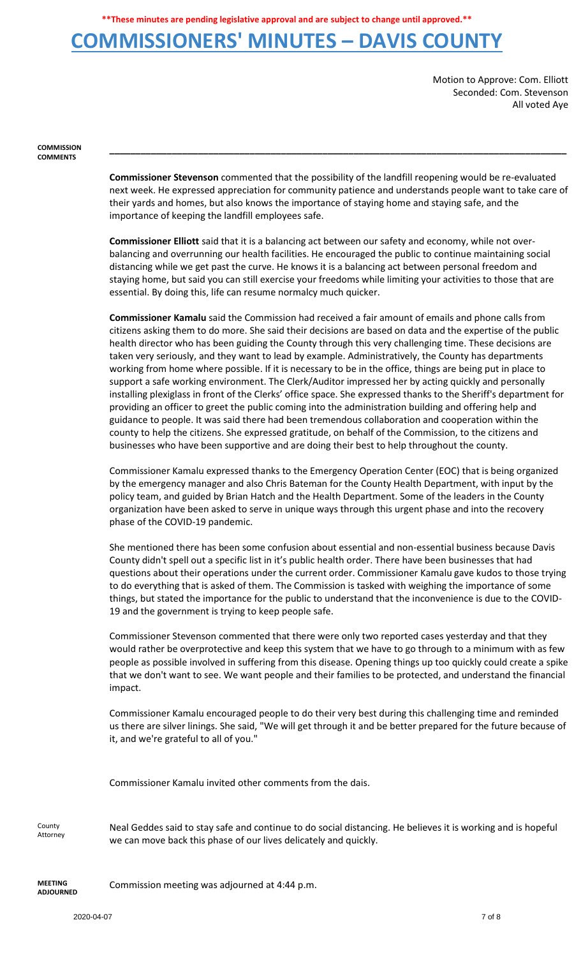#### **COMMISSIONERS' MINUTES – DAVIS COUNTY**

Motion to Approve: Com. Elliott Seconded: Com. Stevenson All voted Aye

**COMMISSION COMMENTS**

> **Commissioner Stevenson** commented that the possibility of the landfill reopening would be re-evaluated next week. He expressed appreciation for community patience and understands people want to take care of their yards and homes, but also knows the importance of staying home and staying safe, and the importance of keeping the landfill employees safe.

> **\_\_\_\_\_\_\_\_\_\_\_\_\_\_\_\_\_\_\_\_\_\_\_\_\_\_\_\_\_\_\_\_\_\_\_\_\_\_\_\_\_\_\_\_\_\_\_\_\_\_\_\_\_\_\_\_\_\_\_\_\_\_\_\_\_\_\_\_\_\_\_\_\_\_\_\_\_\_\_\_\_\_\_\_\_\_\_\_**

**Commissioner Elliott** said that it is a balancing act between our safety and economy, while not overbalancing and overrunning our health facilities. He encouraged the public to continue maintaining social distancing while we get past the curve. He knows it is a balancing act between personal freedom and staying home, but said you can still exercise your freedoms while limiting your activities to those that are essential. By doing this, life can resume normalcy much quicker.

**Commissioner Kamalu** said the Commission had received a fair amount of emails and phone calls from citizens asking them to do more. She said their decisions are based on data and the expertise of the public health director who has been guiding the County through this very challenging time. These decisions are taken very seriously, and they want to lead by example. Administratively, the County has departments working from home where possible. If it is necessary to be in the office, things are being put in place to support a safe working environment. The Clerk/Auditor impressed her by acting quickly and personally installing plexiglass in front of the Clerks' office space. She expressed thanks to the Sheriff's department for providing an officer to greet the public coming into the administration building and offering help and guidance to people. It was said there had been tremendous collaboration and cooperation within the county to help the citizens. She expressed gratitude, on behalf of the Commission, to the citizens and businesses who have been supportive and are doing their best to help throughout the county.

Commissioner Kamalu expressed thanks to the Emergency Operation Center (EOC) that is being organized by the emergency manager and also Chris Bateman for the County Health Department, with input by the policy team, and guided by Brian Hatch and the Health Department. Some of the leaders in the County organization have been asked to serve in unique ways through this urgent phase and into the recovery phase of the COVID-19 pandemic.

She mentioned there has been some confusion about essential and non-essential business because Davis County didn't spell out a specific list in it's public health order. There have been businesses that had questions about their operations under the current order. Commissioner Kamalu gave kudos to those trying to do everything that is asked of them. The Commission is tasked with weighing the importance of some things, but stated the importance for the public to understand that the inconvenience is due to the COVID-19 and the government is trying to keep people safe.

Commissioner Stevenson commented that there were only two reported cases yesterday and that they would rather be overprotective and keep this system that we have to go through to a minimum with as few people as possible involved in suffering from this disease. Opening things up too quickly could create a spike that we don't want to see. We want people and their families to be protected, and understand the financial impact.

Commissioner Kamalu encouraged people to do their very best during this challenging time and reminded us there are silver linings. She said, "We will get through it and be better prepared for the future because of it, and we're grateful to all of you."

Commissioner Kamalu invited other comments from the dais.

County Attorney Neal Geddes said to stay safe and continue to do social distancing. He believes it is working and is hopeful we can move back this phase of our lives delicately and quickly.